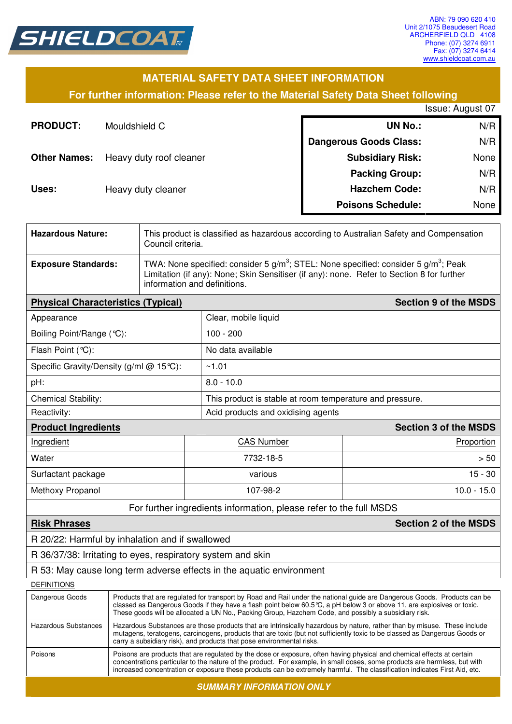

### **MATERIAL SAFETY DATA SHEET INFORMATION**

**For further information: Please refer to the Material Safety Data Sheet following**

|                     |                         |                               | Issue: August 07 |
|---------------------|-------------------------|-------------------------------|------------------|
| <b>PRODUCT:</b>     | Mouldshield C           | <b>UN No.:</b>                | N/R              |
|                     |                         | <b>Dangerous Goods Class:</b> | N/R              |
| <b>Other Names:</b> | Heavy duty roof cleaner | <b>Subsidiary Risk:</b>       | None             |
|                     |                         | <b>Packing Group:</b>         | N/R              |
| Uses:               | Heavy duty cleaner      | <b>Hazchem Code:</b>          | N/R              |
|                     |                         | <b>Poisons Schedule:</b>      | None             |

| <b>Hazardous Nature:</b>                                    | This product is classified as hazardous according to Australian Safety and Compensation<br>Council criteria.                                                                                                                                                                                                                                                                     |                   |                                                                      |                              |  |
|-------------------------------------------------------------|----------------------------------------------------------------------------------------------------------------------------------------------------------------------------------------------------------------------------------------------------------------------------------------------------------------------------------------------------------------------------------|-------------------|----------------------------------------------------------------------|------------------------------|--|
| <b>Exposure Standards:</b>                                  | TWA: None specified: consider 5 g/m <sup>3</sup> ; STEL: None specified: consider 5 g/m <sup>3</sup> ; Peak<br>Limitation (if any): None; Skin Sensitiser (if any): none. Refer to Section 8 for further<br>information and definitions.                                                                                                                                         |                   |                                                                      |                              |  |
|                                                             | <b>Section 9 of the MSDS</b><br><b>Physical Characteristics (Typical)</b>                                                                                                                                                                                                                                                                                                        |                   |                                                                      |                              |  |
| Appearance                                                  |                                                                                                                                                                                                                                                                                                                                                                                  |                   | Clear, mobile liquid                                                 |                              |  |
| Boiling Point/Range (°C):                                   |                                                                                                                                                                                                                                                                                                                                                                                  |                   | $100 - 200$                                                          |                              |  |
| Flash Point (°C):                                           |                                                                                                                                                                                                                                                                                                                                                                                  |                   | No data available                                                    |                              |  |
| Specific Gravity/Density (g/ml @ 15℃):                      |                                                                                                                                                                                                                                                                                                                                                                                  |                   | ~1.01                                                                |                              |  |
| pH:                                                         |                                                                                                                                                                                                                                                                                                                                                                                  |                   | $8.0 - 10.0$                                                         |                              |  |
| <b>Chemical Stability:</b>                                  |                                                                                                                                                                                                                                                                                                                                                                                  |                   | This product is stable at room temperature and pressure.             |                              |  |
| Reactivity:                                                 |                                                                                                                                                                                                                                                                                                                                                                                  |                   | Acid products and oxidising agents                                   |                              |  |
| <b>Product Ingredients</b>                                  |                                                                                                                                                                                                                                                                                                                                                                                  |                   |                                                                      | <b>Section 3 of the MSDS</b> |  |
| Ingredient                                                  |                                                                                                                                                                                                                                                                                                                                                                                  | <b>CAS Number</b> |                                                                      | Proportion                   |  |
| Water                                                       |                                                                                                                                                                                                                                                                                                                                                                                  | 7732-18-5         |                                                                      | > 50                         |  |
| Surfactant package                                          |                                                                                                                                                                                                                                                                                                                                                                                  |                   | various                                                              |                              |  |
| Methoxy Propanol                                            |                                                                                                                                                                                                                                                                                                                                                                                  |                   | $10.0 - 15.0$<br>107-98-2                                            |                              |  |
|                                                             |                                                                                                                                                                                                                                                                                                                                                                                  |                   | For further ingredients information, please refer to the full MSDS   |                              |  |
| <b>Risk Phrases</b>                                         |                                                                                                                                                                                                                                                                                                                                                                                  |                   |                                                                      | <b>Section 2 of the MSDS</b> |  |
| R 20/22: Harmful by inhalation and if swallowed             |                                                                                                                                                                                                                                                                                                                                                                                  |                   |                                                                      |                              |  |
| R 36/37/38: Irritating to eyes, respiratory system and skin |                                                                                                                                                                                                                                                                                                                                                                                  |                   |                                                                      |                              |  |
|                                                             |                                                                                                                                                                                                                                                                                                                                                                                  |                   | R 53: May cause long term adverse effects in the aquatic environment |                              |  |
| <b>DEFINITIONS</b>                                          |                                                                                                                                                                                                                                                                                                                                                                                  |                   |                                                                      |                              |  |
| Dangerous Goods                                             | Products that are regulated for transport by Road and Rail under the national guide are Dangerous Goods. Products can be<br>classed as Dangerous Goods if they have a flash point below 60.5 °C, a pH below 3 or above 11, are explosives or toxic.<br>These goods will be allocated a UN No., Packing Group, Hazchem Code, and possibly a subsidiary risk.                      |                   |                                                                      |                              |  |
| <b>Hazardous Substances</b>                                 | Hazardous Substances are those products that are intrinsically hazardous by nature, rather than by misuse. These include<br>mutagens, teratogens, carcinogens, products that are toxic (but not sufficiently toxic to be classed as Dangerous Goods or<br>carry a subsidiary risk), and products that pose environmental risks.                                                  |                   |                                                                      |                              |  |
| Poisons                                                     | Poisons are products that are regulated by the dose or exposure, often having physical and chemical effects at certain<br>concentrations particular to the nature of the product. For example, in small doses, some products are harmless, but with<br>increased concentration or exposure these products can be extremely harmful. The classification indicates First Aid, etc. |                   |                                                                      |                              |  |
|                                                             |                                                                                                                                                                                                                                                                                                                                                                                  |                   | <b>SUMMARY INFORMATION ONLY</b>                                      |                              |  |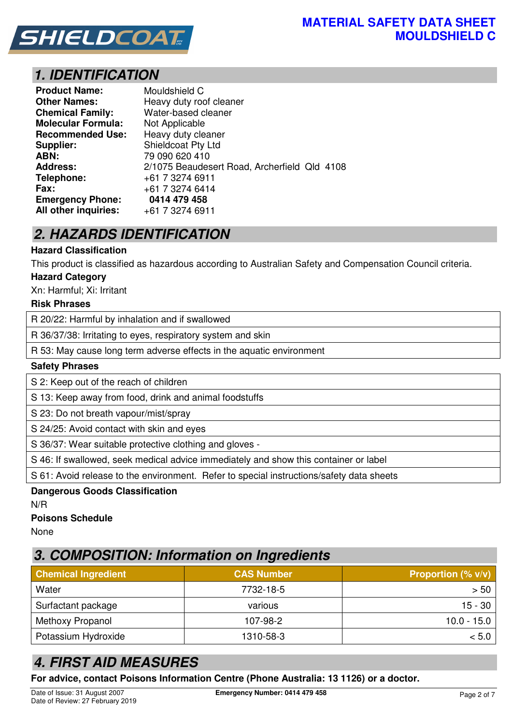

## **1. IDENTIFICATION**

| <b>Product Name:</b>      | Mouldshield C                                |
|---------------------------|----------------------------------------------|
| <b>Other Names:</b>       | Heavy duty roof cleaner                      |
| <b>Chemical Family:</b>   | Water-based cleaner                          |
| <b>Molecular Formula:</b> | Not Applicable                               |
| <b>Recommended Use:</b>   | Heavy duty cleaner                           |
| Supplier:                 | Shieldcoat Pty Ltd                           |
| ABN:                      | 79 090 620 410                               |
| <b>Address:</b>           | 2/1075 Beaudesert Road, Archerfield Qld 4108 |
| Telephone:                | +61 7 3274 6911                              |
| Fax:                      | +61 7 3274 6414                              |
| <b>Emergency Phone:</b>   | 0414 479 458                                 |
| All other inquiries:      | +61 7 3274 6911                              |

# **2. HAZARDS IDENTIFICATION**

#### **Hazard Classification**

This product is classified as hazardous according to Australian Safety and Compensation Council criteria.

#### **Hazard Category**

Xn: Harmful; Xi: Irritant

#### **Risk Phrases**

R 20/22: Harmful by inhalation and if swallowed

R 36/37/38: Irritating to eyes, respiratory system and skin

R 53: May cause long term adverse effects in the aquatic environment

#### **Safety Phrases**

S 2: Keep out of the reach of children

S 13: Keep away from food, drink and animal foodstuffs

S 23: Do not breath vapour/mist/spray

S 24/25: Avoid contact with skin and eyes

S 36/37: Wear suitable protective clothing and gloves -

S 46: If swallowed, seek medical advice immediately and show this container or label

S 61: Avoid release to the environment. Refer to special instructions/safety data sheets

## **Dangerous Goods Classification**

N/R

#### **Poisons Schedule**

None

## **3. COMPOSITION: Information on Ingredients**

| <b>Chemical Ingredient</b> | <b>CAS Number</b> | <b>Proportion (% <math>v/v</math>)</b> |
|----------------------------|-------------------|----------------------------------------|
| Water                      | 7732-18-5         | >50                                    |
| Surfactant package         | various           | 15 - 30                                |
| Methoxy Propanol           | 107-98-2          | 10.0 - 15.0                            |
| Potassium Hydroxide        | 1310-58-3         | < 5.0                                  |

# **4. FIRST AID MEASURES**

**For advice, contact Poisons Information Centre (Phone Australia: 13 1126) or a doctor.**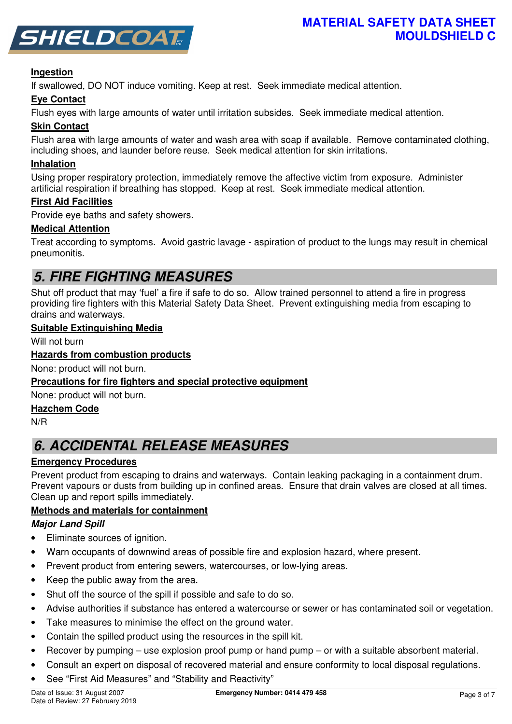

#### **Ingestion**

If swallowed, DO NOT induce vomiting. Keep at rest. Seek immediate medical attention.

#### **Eye Contact**

Flush eyes with large amounts of water until irritation subsides. Seek immediate medical attention.

#### **Skin Contact**

Flush area with large amounts of water and wash area with soap if available. Remove contaminated clothing, including shoes, and launder before reuse. Seek medical attention for skin irritations.

#### **Inhalation**

Using proper respiratory protection, immediately remove the affective victim from exposure. Administer artificial respiration if breathing has stopped. Keep at rest. Seek immediate medical attention.

#### **First Aid Facilities**

Provide eye baths and safety showers.

#### **Medical Attention**

Treat according to symptoms. Avoid gastric lavage - aspiration of product to the lungs may result in chemical pneumonitis.

## **5. FIRE FIGHTING MEASURES**

Shut off product that may 'fuel' a fire if safe to do so. Allow trained personnel to attend a fire in progress providing fire fighters with this Material Safety Data Sheet. Prevent extinguishing media from escaping to drains and waterways.

#### **Suitable Extinguishing Media**

Will not burn

#### **Hazards from combustion products**

None: product will not burn.

#### **Precautions for fire fighters and special protective equipment**

None: product will not burn.

#### **Hazchem Code**

N/R

# **6. ACCIDENTAL RELEASE MEASURES**

#### **Emergency Procedures**

Prevent product from escaping to drains and waterways. Contain leaking packaging in a containment drum. Prevent vapours or dusts from building up in confined areas. Ensure that drain valves are closed at all times. Clean up and report spills immediately.

#### **Methods and materials for containment**

#### **Major Land Spill**

- Eliminate sources of ignition.
- Warn occupants of downwind areas of possible fire and explosion hazard, where present.
- Prevent product from entering sewers, watercourses, or low-lying areas.
- Keep the public away from the area.
- Shut off the source of the spill if possible and safe to do so.
- Advise authorities if substance has entered a watercourse or sewer or has contaminated soil or vegetation.
- Take measures to minimise the effect on the ground water.
- Contain the spilled product using the resources in the spill kit.
- Recover by pumping use explosion proof pump or hand pump or with a suitable absorbent material.
- Consult an expert on disposal of recovered material and ensure conformity to local disposal regulations.
- See "First Aid Measures" and "Stability and Reactivity"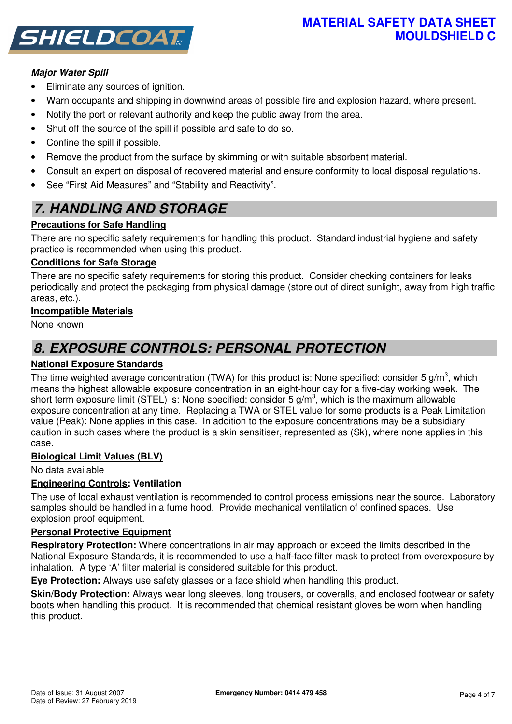### **MATERIAL SAFETY DATA SHEET MOULDSHIELD C**



### **Major Water Spill**

- Eliminate any sources of ignition.
- Warn occupants and shipping in downwind areas of possible fire and explosion hazard, where present.
- Notify the port or relevant authority and keep the public away from the area.
- Shut off the source of the spill if possible and safe to do so.
- Confine the spill if possible.
- Remove the product from the surface by skimming or with suitable absorbent material.
- Consult an expert on disposal of recovered material and ensure conformity to local disposal regulations.
- See "First Aid Measures" and "Stability and Reactivity".

# **7. HANDLING AND STORAGE**

### **Precautions for Safe Handling**

There are no specific safety requirements for handling this product. Standard industrial hygiene and safety practice is recommended when using this product.

#### **Conditions for Safe Storage**

There are no specific safety requirements for storing this product. Consider checking containers for leaks periodically and protect the packaging from physical damage (store out of direct sunlight, away from high traffic areas, etc.).

#### **Incompatible Materials**

None known

## **8. EXPOSURE CONTROLS: PERSONAL PROTECTION**

#### **National Exposure Standards**

The time weighted average concentration (TWA) for this product is: None specified: consider 5 g/m<sup>3</sup>, which means the highest allowable exposure concentration in an eight-hour day for a five-day working week. The short term exposure limit (STEL) is: None specified: consider 5 g/m<sup>3</sup>, which is the maximum allowable exposure concentration at any time. Replacing a TWA or STEL value for some products is a Peak Limitation value (Peak): None applies in this case. In addition to the exposure concentrations may be a subsidiary caution in such cases where the product is a skin sensitiser, represented as (Sk), where none applies in this case.

#### **Biological Limit Values (BLV)**

No data available

#### **Engineering Controls: Ventilation**

The use of local exhaust ventilation is recommended to control process emissions near the source. Laboratory samples should be handled in a fume hood. Provide mechanical ventilation of confined spaces. Use explosion proof equipment.

#### **Personal Protective Equipment**

**Respiratory Protection:** Where concentrations in air may approach or exceed the limits described in the National Exposure Standards, it is recommended to use a half-face filter mask to protect from overexposure by inhalation. A type 'A' filter material is considered suitable for this product.

**Eye Protection:** Always use safety glasses or a face shield when handling this product.

**Skin/Body Protection:** Always wear long sleeves, long trousers, or coveralls, and enclosed footwear or safety boots when handling this product. It is recommended that chemical resistant gloves be worn when handling this product.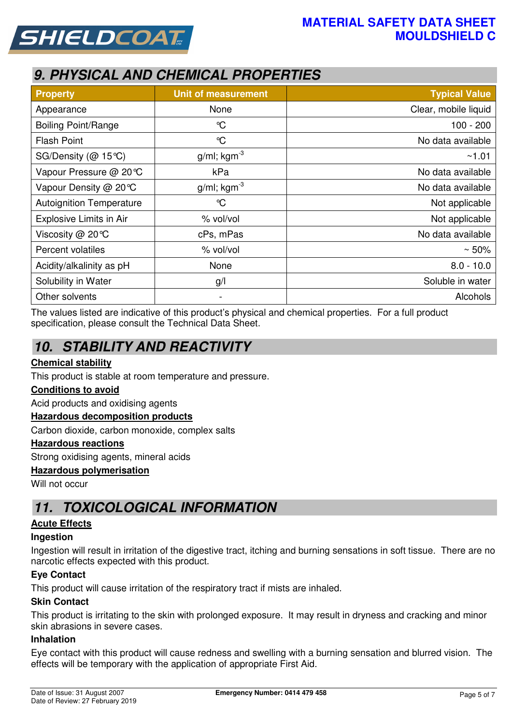



# **9. PHYSICAL AND CHEMICAL PROPERTIES**

| <b>Property</b>                 | <b>Unit of measurement</b> | <b>Typical Value</b> |  |
|---------------------------------|----------------------------|----------------------|--|
| Appearance                      | None                       | Clear, mobile liquid |  |
| <b>Boiling Point/Range</b>      | $\mathrm{C}$               | $100 - 200$          |  |
| <b>Flash Point</b>              | $\mathrm{C}$               | No data available    |  |
| SG/Density (@ 15℃)              | $g/ml$ ; kgm <sup>-3</sup> | ~1.01                |  |
| Vapour Pressure @ 20℃           | kPa                        | No data available    |  |
| Vapour Density @ 20 °C          | $g/ml$ ; kgm <sup>-3</sup> | No data available    |  |
| <b>Autoignition Temperature</b> | $\mathrm{C}$               | Not applicable       |  |
| Explosive Limits in Air         | % vol/vol                  | Not applicable       |  |
| Viscosity @ 20°C                | cPs, mPas                  | No data available    |  |
| Percent volatiles               | % vol/vol                  | $~50\%$              |  |
| Acidity/alkalinity as pH        | None                       | $8.0 - 10.0$         |  |
| Solubility in Water             | g/l                        | Soluble in water     |  |
| Other solvents                  | -                          | Alcohols             |  |

The values listed are indicative of this product's physical and chemical properties. For a full product specification, please consult the Technical Data Sheet.

# **10. STABILITY AND REACTIVITY**

#### **Chemical stability**

This product is stable at room temperature and pressure.

#### **Conditions to avoid**

Acid products and oxidising agents

#### **Hazardous decomposition products**

Carbon dioxide, carbon monoxide, complex salts

#### **Hazardous reactions**

Strong oxidising agents, mineral acids

#### **Hazardous polymerisation**

Will not occur

## **11. TOXICOLOGICAL INFORMATION**

#### **Acute Effects**

#### **Ingestion**

Ingestion will result in irritation of the digestive tract, itching and burning sensations in soft tissue. There are no narcotic effects expected with this product.

#### **Eye Contact**

This product will cause irritation of the respiratory tract if mists are inhaled.

#### **Skin Contact**

This product is irritating to the skin with prolonged exposure. It may result in dryness and cracking and minor skin abrasions in severe cases.

#### **Inhalation**

Eye contact with this product will cause redness and swelling with a burning sensation and blurred vision. The effects will be temporary with the application of appropriate First Aid.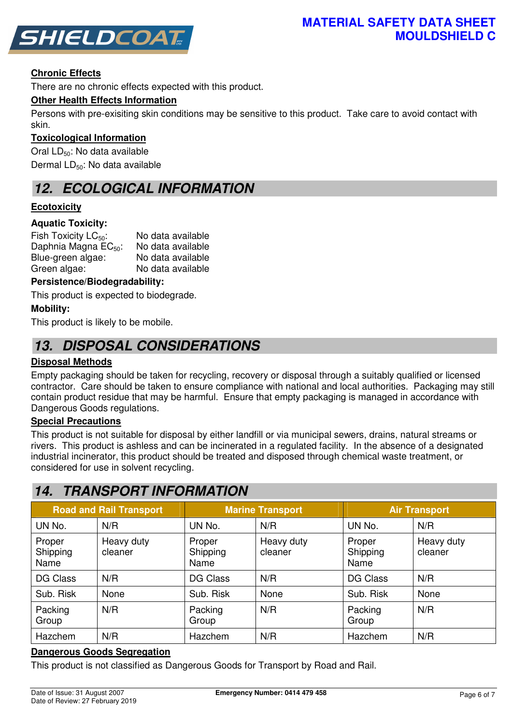

### **Chronic Effects**

There are no chronic effects expected with this product.

#### **Other Health Effects Information**

Persons with pre-exisiting skin conditions may be sensitive to this product. Take care to avoid contact with skin.

#### **Toxicological Information**

Oral LD<sub>50</sub>: No data available Dermal LD<sub>50</sub>: No data available

## **12. ECOLOGICAL INFORMATION**

### **Ecotoxicity**

#### **Aquatic Toxicity:**

| Fish Toxicity $LC_{50}$ :        | No data available |
|----------------------------------|-------------------|
| Daphnia Magna EC <sub>50</sub> : | No data available |
| Blue-green algae:                | No data available |
| Green algae:                     | No data available |

#### **Persistence/Biodegradability:**

This product is expected to biodegrade.

#### **Mobility:**

This product is likely to be mobile.

## **13. DISPOSAL CONSIDERATIONS**

#### **Disposal Methods**

Empty packaging should be taken for recycling, recovery or disposal through a suitably qualified or licensed contractor. Care should be taken to ensure compliance with national and local authorities. Packaging may still contain product residue that may be harmful. Ensure that empty packaging is managed in accordance with Dangerous Goods regulations.

#### **Special Precautions**

This product is not suitable for disposal by either landfill or via municipal sewers, drains, natural streams or rivers. This product is ashless and can be incinerated in a regulated facility. In the absence of a designated industrial incinerator, this product should be treated and disposed through chemical waste treatment, or considered for use in solvent recycling.

## **14. TRANSPORT INFORMATION**

| <b>Road and Rail Transport</b> |                       |                            | <b>Marine Transport</b> | <b>Air Transport</b>       |                       |  |
|--------------------------------|-----------------------|----------------------------|-------------------------|----------------------------|-----------------------|--|
| UN No.                         | N/R                   | UN No.                     | N/R                     | UN No.                     | N/R                   |  |
| Proper<br>Shipping<br>Name     | Heavy duty<br>cleaner | Proper<br>Shipping<br>Name | Heavy duty<br>cleaner   | Proper<br>Shipping<br>Name | Heavy duty<br>cleaner |  |
| DG Class                       | N/R                   | <b>DG Class</b>            | N/R                     | <b>DG Class</b>            | N/R                   |  |
| Sub. Risk                      | None                  | Sub. Risk                  | None                    | Sub. Risk                  | None                  |  |
| Packing<br>Group               | N/R                   | Packing<br>Group           | N/R                     | Packing<br>Group           | N/R                   |  |
| Hazchem                        | N/R                   | Hazchem                    | N/R                     | Hazchem                    | N/R                   |  |

#### **Dangerous Goods Segregation**

This product is not classified as Dangerous Goods for Transport by Road and Rail.